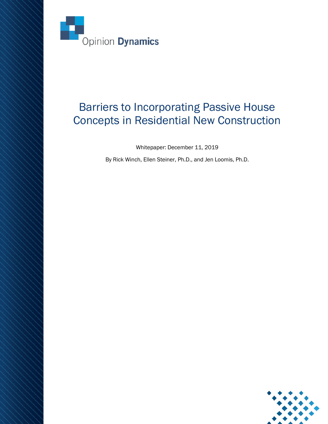

# Barriers to Incorporating Passive House Concepts in Residential New Construction

Whitepaper: December 11, 2019

By Rick Winch, Ellen Steiner, Ph.D., and Jen Loomis, Ph.D.

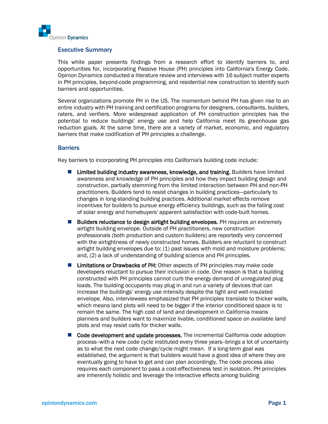

#### Executive Summary

This white paper presents findings from a research effort to identify barriers to, and opportunities for, incorporating Passive House (PH) principles into California's Energy Code. Opinion Dynamics conducted a literature review and interviews with 16 subject matter experts in PH principles, beyond-code programming, and residential new construction to identify such barriers and opportunities.

Several organizations promote PH in the US. The momentum behind PH has given rise to an entire industry with PH training and certification programs for designers, consultants, builders, raters, and verifiers. More widespread application of PH construction principles has the potential to reduce buildings' energy use and help California meet its greenhouse gas reduction goals. At the same time, there are a variety of market, economic, and regulatory barriers that make codification of PH principles a challenge.

#### **Barriers**

Key barriers to incorporating PH principles into California's building code include:

- Limited building industry awareness, knowledge, and training. Builders have limited awareness and knowledge of PH principles and how they impact building design and construction, partially stemming from the limited interaction between PH and non-PH practitioners. Builders tend to resist changes in building practices—particularly to changes in long-standing building practices. Additional market effects remove incentives for builders to pursue energy efficiency buildings, such as the falling cost of solar energy and homebuyers' apparent satisfaction with code-built homes.
- Builders reluctance to design airtight building envelopes. PH requires an extremely airtight building envelope. Outside of PH practitioners, new construction professionals (both production and custom builders) are reportedly very concerned with the airtightness of newly constructed homes. Builders are reluctant to construct airtight building envelopes due to: (1) past issues with mold and moisture problems; and, (2) a lack of understanding of building science and PH principles.
- Limitations or Drawbacks of PH: Other aspects of PH principles may make code developers reluctant to pursue their inclusion in code. One reason is that a building constructed with PH principles cannot curb the energy demand of unregulated plug loads. The building occupants may plug in and run a variety of devices that can increase the buildings' energy use intensity despite the tight and well-insulated envelope. Also, interviewees emphasized that PH principles translate to thicker walls, which means land plots will need to be bigger if the interior conditioned space is to remain the same. The high cost of land and development in California means planners and builders want to maximize livable, conditioned space on available land plots and may resist calls for thicker walls.
- Code development and update processes. The incremental California code adoption process--with a new code cycle instituted every three years--brings a lot of uncertainty as to what the next code change/cycle might mean. If a long-term goal was established, the argument is that builders would have a good idea of where they are eventually going to have to get and can plan accordingly. The code process also requires each component to pass a cost-effectiveness test in isolation. PH principles are inherently holistic and leverage the interactive effects among building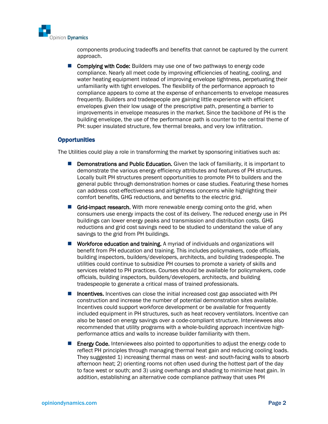

components producing tradeoffs and benefits that cannot be captured by the current approach.

■ Complying with Code: Builders may use one of two pathways to energy code compliance. Nearly all meet code by improving efficiencies of heating, cooling, and water heating equipment instead of improving envelope tightness, perpetuating their unfamiliarity with tight envelopes. The flexibility of the performance approach to compliance appears to come at the expense of enhancements to envelope measures frequently. Builders and tradespeople are gaining little experience with efficient envelopes given their low usage of the prescriptive path, presenting a barrier to improvements in envelope measures in the market. Since the backbone of PH is the building envelope, the use of the performance path is counter to the central theme of PH: super insulated structure, few thermal breaks, and very low infiltration.

#### **Opportunities**

The Utilities could play a role in transforming the market by sponsoring initiatives such as:

- Demonstrations and Public Education. Given the lack of familiarity, it is important to demonstrate the various energy efficiency attributes and features of PH structures. Locally built PH structures present opportunities to promote PH to builders and the general public through demonstration homes or case studies. Featuring these homes can address cost-effectiveness and airtightness concerns while highlighting their comfort benefits, GHG reductions, and benefits to the electric grid.
- Grid-impact research. With more renewable energy coming onto the grid, when consumers use energy impacts the cost of its delivery. The reduced energy use in PH buildings can lower energy peaks and transmission and distribution costs. GHG reductions and grid cost savings need to be studied to understand the value of any savings to the grid from PH buildings.
- Workforce education and training. A myriad of individuals and organizations will benefit from PH education and training. This includes policymakers, code officials, building inspectors, builders/developers, architects, and building tradespeople. The utilities could continue to subsidize PH courses to promote a variety of skills and services related to PH practices. Courses should be available for policymakers, code officials, building inspectors, builders/developers, architects, and building tradespeople to generate a critical mass of trained professionals.
- Incentives. Incentives can close the initial increased cost gap associated with PH construction and increase the number of potential demonstration sites available. Incentives could support workforce development or be available for frequently included equipment in PH structures, such as heat recovery ventilators. Incentive can also be based on energy savings over a code-compliant structure. Interviewees also recommended that utility programs with a whole-building approach incentivize highperformance attics and walls to increase builder familiarity with them.
- Energy Code. Interviewees also pointed to opportunities to adjust the energy code to reflect PH principles through managing thermal heat gain and reducing cooling loads. They suggested 1) increasing thermal mass on west- and south-facing walls to absorb afternoon heat; 2) orienting rooms not often used during the hottest part of the day to face west or south; and 3) using overhangs and shading to minimize heat gain. In addition, establishing an alternative code compliance pathway that uses PH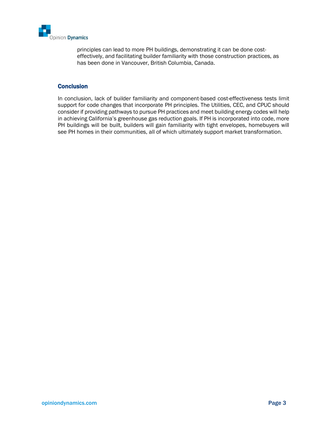

principles can lead to more PH buildings, demonstrating it can be done costeffectively, and facilitating builder familiarity with those construction practices, as has been done in Vancouver, British Columbia, Canada.

#### **Conclusion**

In conclusion, lack of builder familiarity and component-based cost-effectiveness tests limit support for code changes that incorporate PH principles. The Utilities, CEC, and CPUC should consider if providing pathways to pursue PH practices and meet building energy codes will help in achieving California's greenhouse gas reduction goals. If PH is incorporated into code, more PH buildings will be built, builders will gain familiarity with tight envelopes, homebuyers will see PH homes in their communities, all of which ultimately support market transformation.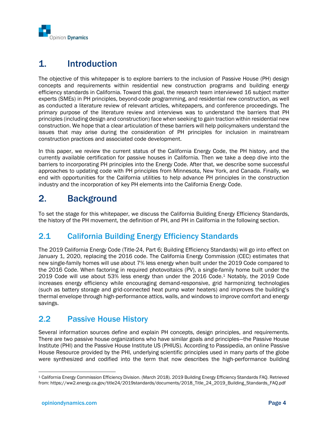

# 1. Introduction

The objective of this whitepaper is to explore barriers to the inclusion of Passive House (PH) design concepts and requirements within residential new construction programs and building energy efficiency standards in California. Toward this goal, the research team interviewed 16 subject matter experts (SMEs) in PH principles, beyond-code programming, and residential new construction, as well as conducted a literature review of relevant articles, whitepapers, and conference proceedings. The primary purpose of the literature review and interviews was to understand the barriers that PH principles (including design and construction) face when seeking to gain traction within residential new construction. We hope that a clear articulation of these barriers will help policymakers understand the issues that may arise during the consideration of PH principles for inclusion in mainstream construction practices and associated code development.

In this paper, we review the current status of the California Energy Code, the PH history, and the currently available certification for passive houses in California. Then we take a deep dive into the barriers to incorporating PH principles into the Energy Code. After that, we describe some successful approaches to updating code with PH principles from Minnesota, New York, and Canada. Finally, we end with opportunities for the California utilities to help advance PH principles in the construction industry and the incorporation of key PH elements into the California Energy Code.

# 2. Background

To set the stage for this whitepaper, we discuss the California Building Energy Efficiency Standards, the history of the PH movement, the definition of PH, and PH in California in the following section.

# 2.1 California Building Energy Efficiency Standards

The 2019 California Energy Code (Title-24, Part 6; Building Efficiency Standards) will go into effect on January 1, 2020, replacing the 2016 code. The California Energy Commission (CEC) estimates that new single-family homes will use about 7% less energy when built under the 2019 Code compared to the 2016 Code. When factoring in required photovoltaics (PV), a single-family home built under the 2019 Code will use about 53% less energy than under the 2016 Code.<sup>1</sup> Notably, the 2019 Code increases energy efficiency while encouraging demand-responsive, grid harmonizing technologies (such as battery storage and grid-connected heat pump water heaters) and improves the building's thermal envelope through high-performance attics, walls, and windows to improve comfort and energy savings.

# 2.2 Passive House History

Several information sources define and explain PH concepts, design principles, and requirements. There are two passive house organizations who have similar goals and principles—the Passive House Institute (PHI) and the Passive House Institute US (PHIUS). According to Passipedia, an online Passive House Resource provided by the PHI, underlying scientific principles used in many parts of the globe were synthesized and codified into the term that now describes the high-performance building

<sup>1</sup> California Energy Commission Efficiency Division. (March 2018). 2019 Building Energy Efficiency Standards FAQ. Retrieved from: https://ww2.energy.ca.gov/title24/2019standards/documents/2018\_Title\_24\_2019\_Building\_Standards\_FAQ.pdf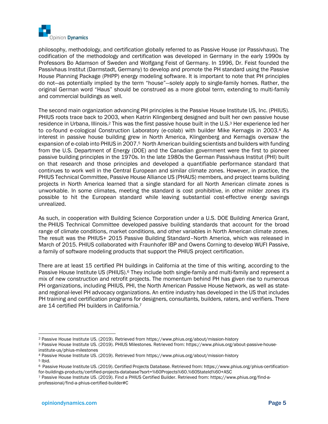

philosophy, methodology, and certification globally referred to as Passive House (or Passivhaus). The codification of the methodology and certification was developed in Germany in the early 1990s by Professors Bo Adamson of Sweden and Wolfgang Feist of Germany. In 1996, Dr. Feist founded the Passivhaus Institut (Darmstadt, Germany) to develop and promote the PH standard using the Passive House Planning Package (PHPP) energy modeling software. It is important to note that PH principles do not—as potentially implied by the term "house"—solely apply to single-family homes. Rather, the original German word "Haus" should be construed as a more global term, extending to multi-family and commercial buildings as well.

The second main organization advancing PH principles is the Passive House Institute US, Inc. (PHIUS). PHIUS roots trace back to 2003, when Katrin Klingenberg designed and built her own passive house residence in Urbana, Illinois.<sup>2</sup> This was the first passive house built in the U.S.<sup>3</sup> Her experience led her to co-found e-cological Construction Laboratory (e-colab) with builder Mike Kernagis in 2003.<sup>4</sup> As interest in passive house building grew in North America, Klingenberg and Kernagis oversaw the expansion of e-colab into PHIUS in 2007.<sup>5</sup> North American building scientists and builders with funding from the U.S. Department of Energy (DOE) and the Canadian government were the first to pioneer passive building principles in the 1970s. In the late 1980s the German Passivhaus Institut (PHI) built on that research and those principles and developed a quantifiable performance standard that continues to work well in the Central European and similar climate zones. However, in practice, the PHIUS Technical Committee, Passive House Alliance US (PHAUS) members, and project teams building projects in North America learned that a single standard for all North American climate zones is unworkable. In some climates, meeting the standard is cost prohibitive, in other milder zones it's possible to hit the European standard while leaving substantial cost-effective energy savings unrealized.

As such, in cooperation with Building Science Corporation under a U.S. DOE Building America Grant, the PHIUS Technical Committee developed passive building standards that account for the broad range of climate conditions, market conditions, and other variables in North American climate zones. The result was the PHIUS+ 2015 Passive Building Standard–North America, which was released in March of 2015. PHIUS collaborated with Fraunhofer IBP and Owens Corning to develop WUFI Passive, a family of software modeling products that support the PHIUS project certification.

There are at least 15 certified PH buildings in California at the time of this writing, according to the Passive House Institute US (PHIUS).<sup>6</sup> They include both single-family and multi-family and represent a mix of new construction and retrofit projects. The momentum behind PH has given rise to numerous PH organizations, including PHIUS, PHI, the North American Passive House Network, as well as stateand regional-level PH advocacy organizations. An entire industry has developed in the US that includes PH training and certification programs for designers, consultants, builders, raters, and verifiers. There are 14 certified PH builders in California.<sup>7</sup>

<sup>4</sup> Passive House Institute US. (2019). Retrieved from https://www.phius.org/about/mission-history

<sup>2</sup> Passive House Institute US. (2019). Retrieved from https://www.phius.org/about/mission-history

<sup>3</sup> Passive House Institute US. (2019). PHIUS Milestones. Retrieved from: https://www.phius.org/about-passive-houseinstitute-us/phius-milestones

<sup>5</sup> Ibid.

<sup>6</sup> Passive House Institute US. (2019). Certified Projects Database. Retrieved from: https://www.phius.org/phius-certificationfor-buildings-products/certified-projects-database?sort=%60Projects%60.%60StateId%60+ASC

<sup>7</sup> Passive House Institute US. (2019). Find a PHIUS Certified Builder. Retrieved from: https://www.phius.org/find-aprofessional/find-a-phius-certified-builder#C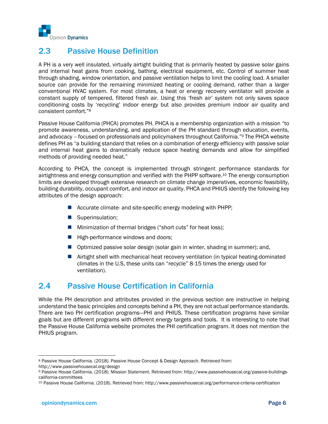

### 2.3 Passive House Definition

A PH is a very well insulated, virtually airtight building that is primarily heated by passive solar gains and internal heat gains from cooking, bathing, electrical equipment, etc. Control of summer heat through shading, window orientation, and passive ventilation helps to limit the cooling load. A smaller source can provide for the remaining minimized heating or cooling demand, rather than a larger conventional HVAC system. For most climates, a heat or energy recovery ventilator will provide a constant supply of tempered, filtered fresh air. Using this 'fresh air' system not only saves space conditioning costs by 'recycling' indoor energy but also provides premium indoor air quality and consistent comfort."<sup>8</sup>

Passive House California (PHCA) promotes PH. PHCA is a membership organization with a mission "to promote awareness, understanding, and application of the PH standard through education, events, and advocacy – focused on professionals and policymakers throughout California."<sup>9</sup> The PHCA website defines PH as "a building standard that relies on a combination of energy efficiency with passive solar and internal heat gains to dramatically reduce space heating demands and allow for simplified methods of providing needed heat."

According to PHCA, the concept is implemented through stringent performance standards for airtightness and energy consumption and verified with the PHPP software. <sup>10</sup> The energy consumption limits are developed through extensive research on climate change imperatives, economic feasibility, building durability, occupant comfort, and indoor air quality. PHCA and PHIUS identify the following key attributes of the design approach:

- Accurate climate- and site-specific energy modeling with PHPP;
- Superinsulation;
- Minimization of thermal bridges ("short cuts" for heat loss);
- High-performance windows and doors;
- Optimized passive solar design (solar gain in winter, shading in summer); and,
- Airtight shell with mechanical heat recovery ventilation (in typical heating-dominated climates in the U.S, these units can "recycle" 8-15 times the energy used for ventilation).

### 2.4 Passive House Certification in California

While the PH description and attributes provided in the previous section are instructive in helping understand the basic principles and concepts behind a PH, they are not actual performance standards. There are two PH certification programs—PHI and PHIUS. These certification programs have similar goals but are different programs with different energy targets and tools. It is interesting to note that the Passive House California website promotes the PHI certification program. It does not mention the PHIUS program.

<sup>8</sup> Passive House California. (2018). Passive House Concept & Design Approach. Retrieved from: http://www.passivehousecal.org/design

<sup>9</sup> Passive House California. (2018). Mission Statement. Retrieved from: http://www.passivehousecal.org/passive-buildingscalifornia-committees

<sup>10</sup> Passive House California. (2018). Retrieved from: http://www.passivehousecal.org/performance-criteria-certification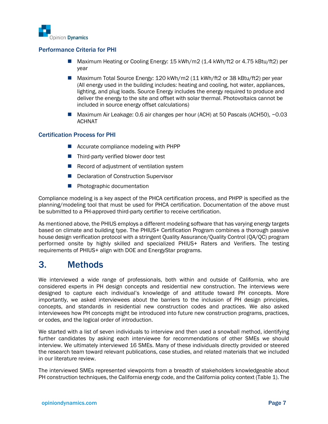

#### Performance Criteria for PHI

- Maximum Heating or Cooling Energy: 15 kWh/m2 (1.4 kWh/ft2 or 4.75 kBtu/ft2) per year
- Maximum Total Source Energy: 120 kWh/m2 (11 kWh/ft2 or 38 kBtu/ft2) per year (All energy used in the building includes: heating and cooling, hot water, appliances, lighting, and plug loads. Source Energy includes the energy required to produce and deliver the energy to the site and offset with solar thermal. Photovoltaics cannot be included in source energy offset calculations)
- Maximum Air Leakage: 0.6 air changes per hour (ACH) at 50 Pascals (ACH50), ~0.03 ACHNAT

#### Certification Process for PHI

- Accurate compliance modeling with PHPP
- Third-party verified blower door test
- Record of adjustment of ventilation system
- Declaration of Construction Supervisor
- Photographic documentation

Compliance modeling is a key aspect of the PHCA certification process, and PHPP is specified as the planning/modeling tool that must be used for PHCA certification. Documentation of the above must be submitted to a PH-approved third-party certifier to receive certification.

As mentioned above, the PHIUS employs a different modeling software that has varying energy targets based on climate and building type. The PHIUS+ Certification Program combines a thorough passive house design verification protocol with a stringent Quality Assurance/Quality Control (QA/QC) program performed onsite by highly skilled and specialized PHIUS+ Raters and Verifiers. The testing requirements of PHIUS+ align with DOE and EnergyStar programs.

# 3. Methods

We interviewed a wide range of professionals, both within and outside of California, who are considered experts in PH design concepts and residential new construction. The interviews were designed to capture each individual's knowledge of and attitude toward PH concepts. More importantly, we asked interviewees about the barriers to the inclusion of PH design principles, concepts, and standards in residential new construction codes and practices. We also asked interviewees how PH concepts might be introduced into future new construction programs, practices, or codes, and the logical order of introduction.

We started with a list of seven individuals to interview and then used a snowball method, identifying further candidates by asking each interviewee for recommendations of other SMEs we should interview. We ultimately interviewed 16 SMEs. Many of these individuals directly provided or steered the research team toward relevant publications, case studies, and related materials that we included in our literature review.

The interviewed SMEs represented viewpoints from a breadth of stakeholders knowledgeable about PH construction techniques, the California energy code, and the California policy context [\(Table 1\)](#page-8-0). The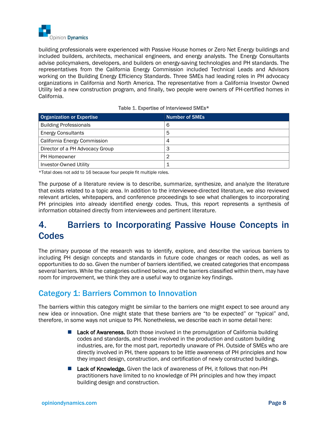

building professionals were experienced with Passive House homes or Zero Net Energy buildings and included builders, architects, mechanical engineers, and energy analysts. The Energy Consultants advise policymakers, developers, and builders on energy-saving technologies and PH standards. The representatives from the California Energy Commission included Technical Leads and Advisors working on the Building Energy Efficiency Standards. Three SMEs had leading roles in PH advocacy organizations in California and North America. The representative from a California Investor Owned Utility led a new construction program, and finally, two people were owners of PH-certified homes in California.

<span id="page-8-0"></span>

| <b>Organization or Expertise</b> | <b>Number of SMEs</b> |
|----------------------------------|-----------------------|
| <b>Building Professionals</b>    | 6                     |
| <b>Energy Consultants</b>        | 5                     |
| California Energy Commission     | 4                     |
| Director of a PH Advocacy Group  | 3                     |
| PH Homeowner                     | 2                     |
| <b>Investor-Owned Utility</b>    |                       |

|  |  | Table 1. Expertise of Interviewed SMEs* |  |
|--|--|-----------------------------------------|--|
|--|--|-----------------------------------------|--|

\*Total does not add to 16 because four people fit multiple roles.

The purpose of a literature review is to describe, summarize, synthesize, and analyze the literature that exists related to a topic area. In addition to the interviewee-directed literature, we also reviewed relevant articles, whitepapers, and conference proceedings to see what challenges to incorporating PH principles into already identified energy codes. Thus, this report represents a synthesis of information obtained directly from interviewees and pertinent literature.

# 4. Barriers to Incorporating Passive House Concepts in **Codes**

The primary purpose of the research was to identify, explore, and describe the various barriers to including PH design concepts and standards in future code changes or reach codes, as well as opportunities to do so. Given the number of barriers identified, we created categories that encompass several barriers. While the categories outlined below, and the barriers classified within them, may have room for improvement, we think they are a useful way to organize key findings.

### Category 1: Barriers Common to Innovation

The barriers within this category might be similar to the barriers one might expect to see around any new idea or innovation. One might state that these barriers are "to be expected" or "typical" and, therefore, in some ways not unique to PH. Nonetheless, we describe each in some detail here:

- Lack of Awareness. Both those involved in the promulgation of California building codes and standards, and those involved in the production and custom building industries, are, for the most part, reportedly unaware of PH. Outside of SMEs who are directly involved in PH, there appears to be little awareness of PH principles and how they impact design, construction, and certification of newly constructed buildings.
- Lack of Knowledge. Given the lack of awareness of PH, it follows that non-PH practitioners have limited to no knowledge of PH principles and how they impact building design and construction.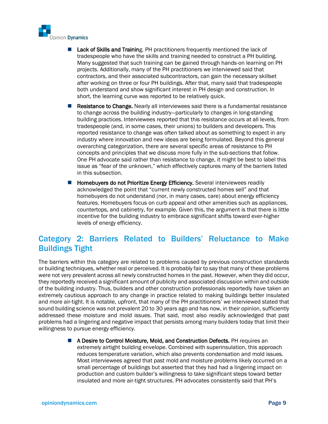

- Lack of Skills and Training. PH practitioners frequently mentioned the lack of tradespeople who have the skills and training needed to construct a PH building. Many suggested that such training can be gained through hands-on learning on PH projects. Additionally, many of the PH practitioners we interviewed said that contractors, and their associated subcontractors, can gain the necessary skillset after working on three or four PH buildings. After that, many said that tradespeople both understand and show significant interest in PH design and construction. In short, the learning curve was reported to be relatively quick.
- Resistance to Change. Nearly all interviewees said there is a fundamental resistance to change across the building industry—particularly to changes in long-standing building practices. Interviewees reported that this resistance occurs at all levels, from tradespeople (and, in some cases, their unions) to builders and developers. This reported resistance to change was often talked about as something to expect in any industry where innovation and new ideas are being formulated. Beyond this general overarching categorization, there are several specific areas of resistance to PH concepts and principles that we discuss more fully in the sub-sections that follow. One PH advocate said rather than resistance to change, it might be best to label this issue as "fear of the unknown," which effectively captures many of the barriers listed in this subsection.
- Homebuyers do not Prioritize Energy Efficiency. Several interviewees readily acknowledged the point that "current newly constructed homes sell" and that homebuyers do not understand (nor, in many cases, care) about energy efficiency features. Homebuyers focus on curb appeal and other amenities such as appliances, countertops, and cabinetry, for example. Given this, the argument is that there is little incentive for the building industry to embrace significant shifts toward ever-higher levels of energy efficiency.

# Category 2: Barriers Related to Builders' Reluctance to Make Buildings Tight

The barriers within this category are related to problems caused by previous construction standards or building techniques, whether real or perceived. It is probably fair to say that many of these problems were not very prevalent across all newly constructed homes in the past. However, when they did occur, they reportedly received a significant amount of publicity and associated discussion within and outside of the building industry. Thus, builders and other construction professionals reportedly have taken an extremely cautious approach to any change in practice related to making buildings better insulated and more air-tight. It is notable, upfront, that many of the PH practitioners' we interviewed stated that sound building science was not prevalent 20 to 30 years ago and has now, in their opinion, sufficiently addressed these moisture and mold issues. That said, most also readily acknowledged that past problems had a lingering and negative impact that persists among many builders today that limit their willingness to pursue energy efficiency.

> ■ A Desire to Control Moisture, Mold, and Construction Defects. PH requires an extremely airtight building envelope. Combined with superinsulation, this approach reduces temperature variation, which also prevents condensation and mold issues. Most interviewees agreed that past mold and moisture problems likely occurred on a small percentage of buildings but asserted that they had had a lingering impact on production and custom builder's willingness to take significant steps toward better insulated and more air-tight structures. PH advocates consistently said that PH's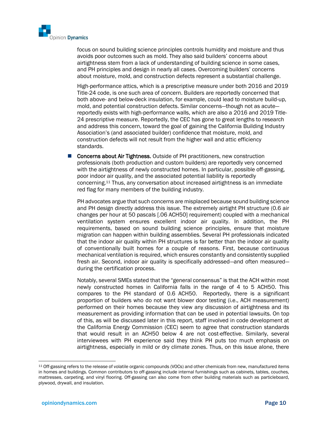

focus on sound building science principles controls humidity and moisture and thus avoids poor outcomes such as mold. They also said builders' concerns about airtightness stem from a lack of understanding of building science in some cases, and PH principles and design in nearly all cases. Overcoming builders' concerns about moisture, mold, and construction defects represent a substantial challenge.

High-performance attics, which is a prescriptive measure under both 2016 and 2019 Title-24 code, is one such area of concern. Builders are reportedly concerned that both above- and below-deck insulation, for example, could lead to moisture build-up, mold, and potential construction defects. Similar concerns—though not as acute reportedly exists with high-performance walls, which are also a 2016 and 2019 Title-24 prescriptive measure. Reportedly, the CEC has gone to great lengths to research and address this concern, toward the goal of gaining the California Building Industry Association's (and associated builder) confidence that moisture, mold, and construction defects will not result from the higher wall and attic efficiency standards.

■ Concerns about Air Tightness. Outside of PH practitioners, new construction professionals (both production and custom builders) are reportedly very concerned with the airtightness of newly constructed homes. In particular, possible off-gassing, poor indoor air quality, and the associated potential liability is reportedly concerning. <sup>11</sup> Thus, any conversation about increased airtightness is an immediate red flag for many members of the building industry.

PH advocates argue that such concerns are misplaced because sound building science and PH design directly address this issue. The extremely airtight PH structure (0.6 air changes per hour at 50 pascals [.06 ACH50] requirement) coupled with a mechanical ventilation system ensures excellent indoor air quality. In addition, the PH requirements, based on sound building science principles, ensure that moisture migration can happen within building assemblies. Several PH professionals indicated that the indoor air quality within PH structures is far better than the indoor air quality of conventionally built homes for a couple of reasons. First, because continuous mechanical ventilation is required, which ensures constantly and consistently supplied fresh air. Second, indoor air quality is specifically addressed—and often measured during the certification process.

Notably, several SMEs stated that the "general consensus" is that the ACH within most newly constructed homes in California falls in the range of 4 to 5 ACH50. This compares to the PH standard of 0.6 ACH50. Reportedly, there is a significant proportion of builders who do not want blower door testing (i.e., ACH measurement) performed on their homes because they view any discussion of airtightness and its measurement as providing information that can be used in potential lawsuits. On top of this, as will be discussed later in this report, staff involved in code development at the California Energy Commission (CEC) seem to agree that construction standards that would result in an ACH50 below 4 are not cost-effective. Similarly, several interviewees with PH experience said they think PH puts too much emphasis on airtightness, especially in mild or dry climate zones. Thus, on this issue alone, there

<sup>11</sup> Off-gassing refers to the release of volatile organic compounds (VOCs) and other chemicals from new, manufactured items in homes and buildings. Common contributors to off-gassing include internal furnishings such as cabinets, tables, couches, mattresses, carpeting, and vinyl flooring. Off-gassing can also come from other building materials such as particleboard, plywood, drywall, and insulation.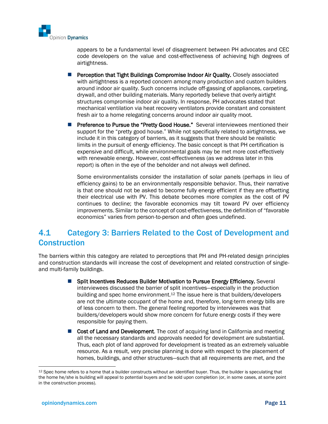

appears to be a fundamental level of disagreement between PH advocates and CEC code developers on the value and cost-effectiveness of achieving high degrees of airtightness.

- Perception that Tight Buildings Compromise Indoor Air Quality. Closely associated with airtightness is a reported concern among many production and custom builders around indoor air quality. Such concerns include off-gassing of appliances, carpeting, drywall, and other building materials. Many reportedly believe that overly airtight structures compromise indoor air quality. In response, PH advocates stated that mechanical ventilation via heat recovery ventilators provide constant and consistent fresh air to a home relegating concerns around indoor air quality moot.
- Preference to Pursue the "Pretty Good House." Several interviewees mentioned their support for the "pretty good house." While not specifically related to airtightness, we include it in this category of barriers, as it suggests that there should be realistic limits in the pursuit of energy efficiency. The basic concept is that PH certification is expensive and difficult, while environmental goals may be met more cost-effectively with renewable energy. However, cost-effectiveness (as we address later in this report) is often in the eye of the beholder and not always well defined.

Some environmentalists consider the installation of solar panels (perhaps in lieu of efficiency gains) to be an environmentally responsible behavior. Thus, their narrative is that one should not be asked to become fully energy efficient if they are offsetting their electrical use with PV. This debate becomes more complex as the cost of PV continues to decline; the favorable economics may tilt toward PV over efficiency improvements. Similar to the concept of cost-effectiveness, the definition of "favorable economics" varies from person-to-person and often goes undefined.

### 4.1 Category 3: Barriers Related to the Cost of Development and **Construction**

The barriers within this category are related to perceptions that PH and PH-related design principles and construction standards will increase the cost of development and related construction of singleand multi-family buildings.

- Split Incentives Reduces Builder Motivation to Pursue Energy Efficiency. Several interviewees discussed the barrier of split incentives—especially in the production building and spec home environment.<sup>12</sup> The issue here is that builders/developers are not the ultimate occupant of the home and, therefore, long-term energy bills are of less concern to them. The general feeling reported by interviewees was that builders/developers would show more concern for future energy costs if they were responsible for paying them.
- Cost of Land and Development. The cost of acquiring land in California and meeting all the necessary standards and approvals needed for development are substantial. Thus, each plot of land approved for development is treated as an extremely valuable resource. As a result, very precise planning is done with respect to the placement of homes, buildings, and other structures—such that all requirements are met, and the

<sup>&</sup>lt;sup>12</sup> Spec home refers to a home that a builder constructs without an identified buyer. Thus, the builder is speculating that the home he/she is building will appeal to potential buyers and be sold upon completion (or, in some cases, at some point in the construction process).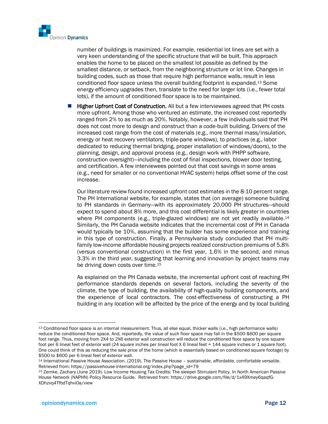

number of buildings is maximized. For example, residential lot lines are set with a very keen understanding of the specific structure that will be built. This approach enables the home to be placed on the smallest lot possible as defined by the smallest distance, or setback, from the neighboring structure or lot line. Changes in building codes, such as those that require high performance walls, result in less conditioned floor space unless the overall building footprint is expanded.<sup>13</sup> Some energy efficiency upgrades then, translate to the need for larger lots (i.e., fewer total lots), if the amount of conditioned floor space is to be maintained.

**Higher Upfront Cost of Construction.** All but a few interviewees agreed that PH costs more upfront. Among those who ventured an estimate, the increased cost reportedly ranged from 2% to as much as 20%. Notably, however, a few individuals said that PH does not cost more to design and construct than a code-built building. Drivers of the increased cost range from the cost of materials (e.g., more thermal mass/insulation, energy or heat recovery ventilators, triple-pane windows), to practices (e.g., labor dedicated to reducing thermal bridging, proper installation of windows/doors), to the planning, design, and approval process (e.g., design work with PHPP software, construction oversight)—including the cost of final inspections, blower door testing, and certification. A few interviewees pointed out that cost savings in some areas (e.g., need for smaller or no conventional HVAC system) helps offset some of the cost increase.

Our literature review found increased upfront cost estimates in the 8-10 percent range. The PH International website, for example, states that (on average) someone building to PH standards in Germany—with its approximately 20,000 PH structures—should expect to spend about 8% more, and this cost differential is likely greater in countries where PH components (e.g., triple-glazed windows) are not yet readily available.<sup>14</sup> Similarly, the PH Canada website indicates that the incremental cost of PH in Canada would typically be 10%, assuming that the builder has some experience and training in this type of construction. Finally, a Pennsylvania study concluded that PH multifamily low-income affordable housing projects realized construction premiums of 5.8% (versus conventional construction) in the first year, 1.6% in the second, and minus 3.3% in the third year, suggesting that learning and innovation by project teams may be driving down costs over time.<sup>15</sup>

As explained on the PH Canada website, the incremental upfront cost of reaching PH performance standards depends on several factors, including the severity of the climate, the type of building, the availability of high-quality building components, and the experience of local contractors. The cost-effectiveness of constructing a PH building in any location will be affected by the price of the energy and by local building

<sup>13</sup> Conditioned floor space is an internal measurement. Thus, all else equal, thicker walls (i.e., high performance walls) reduce the conditioned floor space. And, reportedly, the value of such floor space may fall in the \$500-\$600 per square foot range. Thus, moving from 2X4 to 2X6 exterior wall construction will reduce the conditioned floor space by one square foot per 6 lineal feet of exterior wall (24 square inches per lineal foot X 6 lineal feet = 144 square inches or 1 square foot). One could think of this as reducing the sale price of the home (which is essentially based on conditioned square footage) by \$500 to \$600 per 6 lineal feet of exterior wall.

<sup>14</sup> International Passive House Association. (2019). The Passive House – sustainable, affordable, comfortable versatile. Retrieved from: https://passivehouse-international.org/index.php?page\_id=79

<sup>15</sup> Zemke, Zachary (June 2019). Low Income Housing Tax Credits: The sleeper Stimulant Policy. In North American Passive House Network (NAPHN) Policy Resource Guide. Retrieved from: https://drive.google.com/file/d/1x49Xmey6qaqfG-XDhzvq4TfbdTqhvi0a/view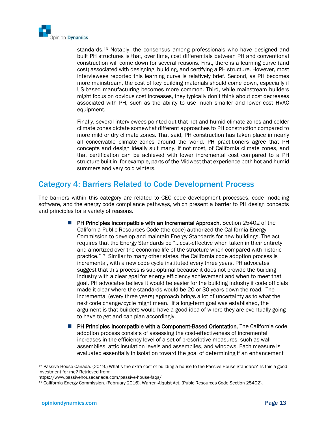

standards.<sup>16</sup> Notably, the consensus among professionals who have designed and built PH structures is that, over time, cost differentials between PH and conventional construction will come down for several reasons. First, there is a learning curve (and cost) associated with designing, building, and certifying a PH structure. However, most interviewees reported this learning curve is relatively brief. Second, as PH becomes more mainstream, the cost of key building materials should come down, especially if US-based manufacturing becomes more common. Third, while mainstream builders might focus on obvious cost increases, they typically don't think about cost decreases associated with PH, such as the ability to use much smaller and lower cost HVAC equipment.

Finally, several interviewees pointed out that hot and humid climate zones and colder climate zones dictate somewhat different approaches to PH construction compared to more mild or dry climate zones. That said, PH construction has taken place in nearly all conceivable climate zones around the world. PH practitioners agree that PH concepts and design ideally suit many, if not most, of California climate zones, and that certification can be achieved with lower incremental cost compared to a PH structure built in, for example, parts of the Midwest that experience both hot and humid summers and very cold winters.

### Category 4: Barriers Related to Code Development Process

The barriers within this category are related to CEC code development processes, code modeling software, and the energy code compliance pathways, which present a barrier to PH design concepts and principles for a variety of reasons.

- PH Principles Incompatible with an Incremental Approach. Section 25402 of the California Public Resources Code (the code) authorized the California Energy Commission to develop and maintain Energy Standards for new buildings. The act requires that the Energy Standards be "…cost-effective when taken in their entirety and amortized over the economic life of the structure when compared with historic practice."<sup>17</sup> Similar to many other states, the California code adoption process is incremental, with a new code cycle instituted every three years. PH advocates suggest that this process is sub-optimal because it does not provide the building industry with a clear goal for energy efficiency achievement and when to meet that goal. PH advocates believe it would be easier for the building industry if code officials made it clear where the standards would be 20 or 30 years down the road. The incremental (every three years) approach brings a lot of uncertainty as to what the next code change/cycle might mean. If a long-term goal was established, the argument is that builders would have a good idea of where they are eventually going to have to get and can plan accordingly.
- PH Principles Incompatible with a Component-Based Orientation. The California code adoption process consists of assessing the cost-effectiveness of incremental increases in the efficiency level of a set of prescriptive measures, such as wall assemblies, attic insulation levels and assemblies, and windows. Each measure is evaluated essentially in isolation toward the goal of determining if an enhancement

<sup>16</sup> Passive House Canada. (2019.) What's the extra cost of building a house to the Passive House Standard? Is this a good investment for me? Retrieved from:

https://www.passivehousecanada.com/passive-house-faqs/

<sup>17</sup> California Energy Commission. (February 2016). Warren-Alquist Act. (Pubic Resources Code Section 25402).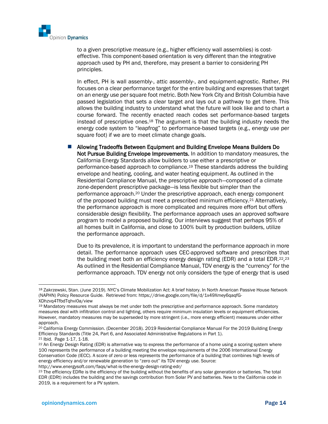

to a given prescriptive measure (e.g., higher efficiency wall assemblies) is costeffective. This component-based orientation is very different than the integrative approach used by PH and, therefore, may present a barrier to considering PH principles.

In effect, PH is wall assembly-, attic assembly-, and equipment-agnostic. Rather, PH focuses on a clear performance target for the entire building and expresses that target on an energy use per square foot metric. Both New York City and British Columbia have passed legislation that sets a clear target and lays out a pathway to get there. This allows the building industry to understand what the future will look like and to chart a course forward. The recently enacted reach codes set performance-based targets instead of prescriptive ones.<sup>18</sup> The argument is that the building industry needs the energy code system to "leapfrog" to performance-based targets (e.g., energy use per square foot) if we are to meet climate change goals.

◼ Allowing Tradeoffs Between Equipment and Building Envelope Means Builders Do Not Pursue Building Envelope Improvements. In addition to mandatory measures, the California Energy Standards allow builders to use either a prescriptive or performance-based approach to compliance.<sup>19</sup> These standards address the building envelope and heating, cooling, and water heating equipment. As outlined in the Residential Compliance Manual, the prescriptive approach—composed of a climate zone-dependent prescriptive package—is less flexible but simpler than the performance approach.<sup>20</sup> Under the prescriptive approach, each energy component of the proposed building must meet a prescribed minimum efficiency.<sup>21</sup> Alternatively, the performance approach is more complicated and requires more effort but offers considerable design flexibility. The performance approach uses an approved software program to model a proposed building. Our interviews suggest that perhaps 95% of all homes built in California, and close to 100% built by production builders, utilize the performance approach.

Due to its prevalence, it is important to understand the performance approach in more detail. The performance approach uses CEC-approved software and prescribes that the building meet both an efficiency energy design rating (EDR) and a total EDR.<sup>22</sup>,<sup>23</sup> As outlined in the Residential Compliance Manual, TDV energy is the "currency" for the performance approach. TDV energy not only considers the type of energy that is used

<sup>18</sup> Zakrzewski, Stan. (June 2019). NYC's Climate Mobilization Act: A brief history. In North American Passive House Network (NAPHN) Policy Resource Guide. Retrieved from: https://drive.google.com/file/d/1x49Xmey6qaqfG-XDhzvq4TfbdTqhvi0a/view

<sup>19</sup> Mandatory measures must always be met under both the prescriptive and performance approach. Some mandatory measures deal with infiltration control and lighting, others require minimum insulation levels or equipment efficiencies. However, mandatory measures may be superseded by more stringent (i.e., more energy efficient) measures under either approach.

<sup>20</sup> California Energy Commission. (December 2018). 2019 Residential Compliance Manual For the 2019 Building Energy Efficiency Standards (Title 24, Part 6, and Associated Administrative Regulations in Part 1).

<sup>21</sup> Ibid. Page 1-17, 1-18.

<sup>&</sup>lt;sup>22</sup> An Energy Design Rating (EDR) is alternative way to express the performance of a home using a scoring system where 100 represents the performance of a building meeting the envelope requirements of the 2006 International Energy Conservation Code (IECC). A score of zero or less represents the performance of a building that combines high levels of energy efficiency and/or renewable generation to "zero out" its TDV energy use. Source: http://www.energysoft.com/faqs/what-is-the-energy-design-rating-edr/

<sup>&</sup>lt;sup>23</sup> The efficiency EDRe is the efficiency of the building without the benefits of any solar generation or batteries. The total EDR (EDRt) includes the building and the savings contribution from Solar PV and batteries. New to the California code in 2019, is a requirement for a PV system.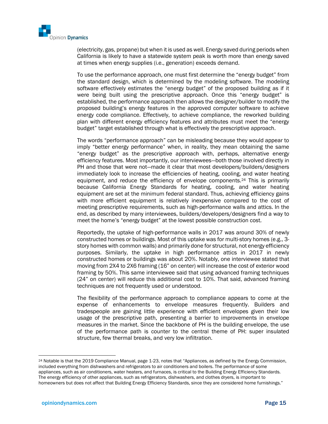

(electricity, gas, propane) but when it is used as well. Energy saved during periods when California is likely to have a statewide system peak is worth more than energy saved at times when energy supplies (i.e., generation) exceeds demand.

To use the performance approach, one must first determine the "energy budget" from the standard design, which is determined by the modeling software. The modeling software effectively estimates the "energy budget" of the proposed building as if it were being built using the prescriptive approach. Once this "energy budget" is established, the performance approach then allows the designer/builder to modify the proposed building's energy features in the approved computer software to achieve energy code compliance. Effectively, to achieve compliance, the reworked building plan with different energy efficiency features and attributes must meet the "energy budget" target established through what is effectively the prescriptive approach.

The words "performance approach" can be misleading because they would appear to imply "better energy performance" when, in reality, they mean obtaining the same "energy budget" as the prescriptive approach with, perhaps, alternative energy efficiency features. Most importantly, our interviewees—both those involved directly in PH and those that were not—made it clear that most developers/builders/designers immediately look to increase the efficiencies of heating, cooling, and water heating equipment, and reduce the efficiency of envelope components.<sup>24</sup> This is primarily because California Energy Standards for heating, cooling, and water heating equipment are set at the minimum federal standard. Thus, achieving efficiency gains with more efficient equipment is relatively inexpensive compared to the cost of meeting prescriptive requirements, such as high-performance walls and attics. In the end, as described by many interviewees, builders/developers/designers find a way to meet the home's "energy budget" at the lowest possible construction cost.

Reportedly, the uptake of high-performance walls in 2017 was around 30% of newly constructed homes or buildings. Most of this uptake was for multi-story homes (e.g., 3 story homes with common walls) and primarily done for structural, not energy efficiency purposes. Similarly, the uptake in high performance attics in 2017 in newly constructed homes or buildings was about 20%. Notably, one interviewee stated that moving from 2X4 to 2X6 framing (16" on center) will increase the cost of exterior wood framing by 50%. This same interviewee said that using advanced framing techniques (24" on center) will reduce this additional cost to 10%. That said, advanced framing techniques are not frequently used or understood.

The flexibility of the performance approach to compliance appears to come at the expense of enhancements to envelope measures frequently. Builders and tradespeople are gaining little experience with efficient envelopes given their low usage of the prescriptive path, presenting a barrier to improvements in envelope measures in the market. Since the backbone of PH is the building envelope, the use of the performance path is counter to the central theme of PH: super insulated structure, few thermal breaks, and very low infiltration.

<sup>24</sup> Notable is that the 2019 Compliance Manual, page 1-23, notes that "Appliances, as defined by the Energy Commission, included everything from dishwashers and refrigerators to air conditioners and boilers. The performance of some appliances, such as air conditioners, water heaters, and furnaces, is critical to the Building Energy Efficiency Standards. The energy efficiency of other appliances, such as refrigerators, dishwashers, and clothes dryers, is important to homeowners but does not affect that Building Energy Efficiency Standards, since they are considered home furnishings."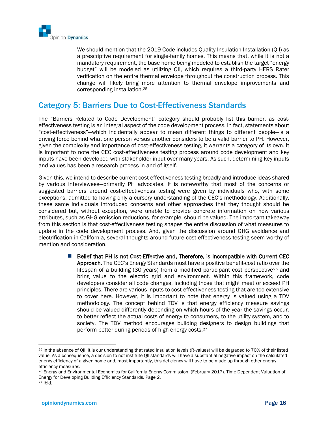

We should mention that the 2019 Code includes Quality Insulation Installation (QII) as a prescriptive requirement for single-family homes. This means that, while it is not a mandatory requirement, the base home being modeled to establish the target "energy budget" will be modeled as utilizing QII, which requires a third-party HERS Rater verification on the entire thermal envelope throughout the construction process. This change will likely bring more attention to thermal envelope improvements and corresponding installation.<sup>25</sup>

### Category 5: Barriers Due to Cost-Effectiveness Standards

The "Barriers Related to Code Development" category should probably list this barrier, as costeffectiveness testing is an integral aspect of the code development process. In fact, statements about "cost-effectiveness"—which incidentally appear to mean different things to different people—is a driving force behind what one person versus another considers to be a valid barrier to PH. However, given the complexity and importance of cost-effectiveness testing, it warrants a category of its own. It is important to note the CEC cost-effectiveness testing process around code development and key inputs have been developed with stakeholder input over many years. As such, determining key inputs and values has been a research process in and of itself.

Given this, we intend to describe current cost-effectiveness testing broadly and introduce ideas shared by various interviewees—primarily PH advocates. It is noteworthy that most of the concerns or suggested barriers around cost-effectiveness testing were given by individuals who, with some exceptions, admitted to having only a cursory understanding of the CEC's methodology. Additionally, these same individuals introduced concerns and other approaches that they thought should be considered but, without exception, were unable to provide concrete information on how various attributes, such as GHG emission reductions, for example, should be valued. The important takeaway from this section is that cost-effectiveness testing shapes the entire discussion of what measures to update in the code development process. And, given the discussion around GHG avoidance and electrification in California, several thoughts around future cost-effectiveness testing seem worthy of mention and consideration.

> ■ Belief that PH is not Cost-Effective and, Therefore, is Incompatible with Current CEC Approach. The CEC's Energy Standards must have a positive benefit-cost ratio over the lifespan of a building (30 years) from a modified participant cost perspective<sup>26</sup> and bring value to the electric grid and environment. Within this framework, code developers consider all code changes, including those that might meet or exceed PH principles. There are various inputs to cost-effectiveness testing that are too extensive to cover here. However, it is important to note that energy is valued using a TDV methodology. The concept behind TDV is that energy efficiency measure savings should be valued differently depending on which hours of the year the savings occur, to better reflect the actual costs of energy to consumers, to the utility system, and to society. The TDV method encourages building designers to design buildings that perform better during periods of high energy costs.<sup>27</sup>

<sup>25</sup> In the absence of QII, it is our understanding that rated insulation levels (R-values) will be degraded to 70% of their listed value. As a consequence, a decision to not institute QII standards will have a substantial negative impact on the calculated energy efficiency of a given home and, most importantly, this deficiency will have to be made up through other energy efficiency measures.

<sup>26</sup> Energy and Environmental Economics for California Energy Commission. (February 2017). Time Dependent Valuation of Energy for Developing Building Efficiency Standards. Page 2.

<sup>27</sup> Ibid.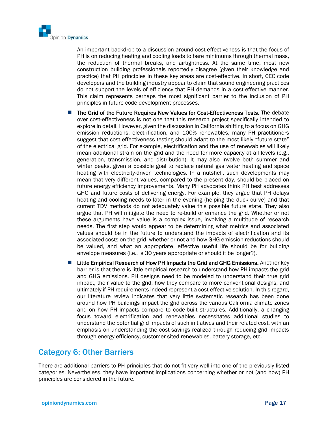

An important backdrop to a discussion around cost-effectiveness is that the focus of PH is on reducing heating and cooling loads to bare minimums through thermal mass, the reduction of thermal breaks, and airtightness. At the same time, most new construction building professionals reportedly disagree (given their knowledge and practice) that PH principles in these key areas are cost-effective. In short, CEC code developers and the building industry appear to claim that sound engineering practices do not support the levels of efficiency that PH demands in a cost-effective manner. This claim represents perhaps the most significant barrier to the inclusion of PH principles in future code development processes.

- The Grid of the Future Requires New Values for Cost-Effectiveness Tests. The debate over cost-effectiveness is not one that this research project specifically intended to explore in detail. However, given the discussion in California shifting to a focus on GHG emission reductions, electrification, and 100% renewables, many PH practitioners suggest that cost-effectiveness testing should adapt to the most likely "future state" of the electrical grid. For example, electrification and the use of renewables will likely mean additional strain on the grid and the need for more capacity at all levels (e.g., generation, transmission, and distribution). It may also involve both summer and winter peaks, given a possible goal to replace natural gas water heating and space heating with electricity-driven technologies. In a nutshell, such developments may mean that very different values, compared to the present day, should be placed on future energy efficiency improvements. Many PH advocates think PH best addresses GHG and future costs of delivering energy. For example, they argue that PH delays heating and cooling needs to later in the evening (helping the duck curve) and that current TDV methods do not adequately value this possible future state. They also argue that PH will mitigate the need to re-build or enhance the grid. Whether or not these arguments have value is a complex issue, involving a multitude of research needs. The first step would appear to be determining what metrics and associated values should be in the future to understand the impacts of electrification and its associated costs on the grid, whether or not and how GHG emission reductions should be valued, and what an appropriate, effective useful life should be for building envelope measures (i.e., is 30 years appropriate or should it be longer?).
- Little Empirical Research of How PH Impacts the Grid and GHG Emissions. Another key barrier is that there is little empirical research to understand how PH impacts the grid and GHG emissions. PH designs need to be modeled to understand their true grid impact, their value to the grid, how they compare to more conventional designs, and ultimately if PH requirements indeed represent a cost-effective solution. In this regard, our literature review indicates that very little systematic research has been done around how PH buildings impact the grid across the various California climate zones and on how PH impacts compare to code-built structures. Additionally, a changing focus toward electrification and renewables necessitates additional studies to understand the potential grid impacts of such initiatives and their related cost, with an emphasis on understanding the cost savings realized through reducing grid impacts through energy efficiency, customer-sited renewables, battery storage, etc.

#### Category 6: Other Barriers

There are additional barriers to PH principles that do not fit very well into one of the previously listed categories. Nevertheless, they have important implications concerning whether or not (and how) PH principles are considered in the future.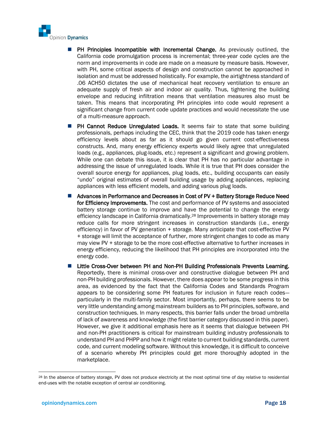

- PH Principles Incompatible with Incremental Change. As previously outlined, the California code promulgation process is incremental; three-year code cycles are the norm and improvements in code are made on a measure by measure basis. However, with PH, some critical aspects of design and construction cannot be approached in isolation and must be addressed holistically. For example, the airtightness standard of .06 ACH50 dictates the use of mechanical heat recovery ventilation to ensure an adequate supply of fresh air and indoor air quality. Thus, tightening the building envelope and reducing infiltration means that ventilation measures also must be taken. This means that incorporating PH principles into code would represent a significant change from current code update practices and would necessitate the use of a multi-measure approach.
- PH Cannot Reduce Unregulated Loads. It seems fair to state that some building professionals, perhaps including the CEC, think that the 2019 code has taken energy efficiency levels about as far as it should go given current cost-effectiveness constructs. And, many energy efficiency experts would likely agree that unregulated loads (e.g., appliances, plug-loads, etc.) represent a significant and growing problem. While one can debate this issue, it is clear that PH has no particular advantage in addressing the issue of unregulated loads. While it is true that PH does consider the overall source energy for appliances, plug loads, etc., building occupants can easily "undo" original estimates of overall building usage by adding appliances, replacing appliances with less efficient models, and adding various plug loads.
- Advances in Performance and Decreases in Cost of PV + Battery Storage Reduce Need for Efficiency Improvements. The cost and performance of PV systems and associated battery storage continue to improve and have the potential to change the energy efficiency landscape in California dramatically. <sup>28</sup> Improvements in battery storage may reduce calls for more stringent increases in construction standards (i.e., energy efficiency) in favor of PV generation + storage. Many anticipate that cost-effective PV + storage will limit the acceptance of further, more stringent changes to code as many may view PV + storage to be the more cost-effective alternative to further increases in energy efficiency, reducing the likelihood that PH principles are incorporated into the energy code.
- Little Cross-Over between PH and Non-PH Building Professionals Prevents Learning. Reportedly, there is minimal cross-over and constructive dialogue between PH and non-PH building professionals. However, there does appear to be some progress in this area, as evidenced by the fact that the California Codes and Standards Program appears to be considering some PH features for inclusion in future reach codes particularly in the multi-family sector. Most importantly, perhaps, there seems to be very little understanding among mainstream builders as to PH principles, software, and construction techniques. In many respects, this barrier falls under the broad umbrella of lack of awareness and knowledge (the first barrier category discussed in this paper). However, we give it additional emphasis here as it seems that dialogue between PH and non-PH practitioners is critical for mainstream building industry professionals to understand PH and PHPP and how it might relate to current building standards, current code, and current modeling software. Without this knowledge, it is difficult to conceive of a scenario whereby PH principles could get more thoroughly adopted in the marketplace.

<sup>&</sup>lt;sup>28</sup> In the absence of battery storage, PV does not produce electricity at the most optimal time of day relative to residential end-uses with the notable exception of central air conditioning.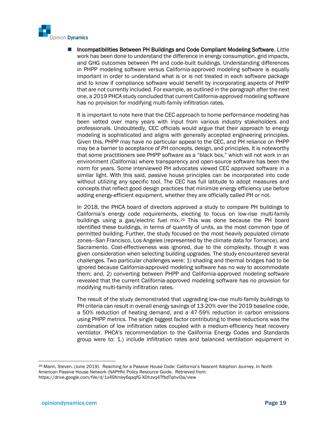

◼ Incompatibilities Between PH Buildings and Code Compliant Modeling Software. Little work has been done to understand the difference in energy consumption, grid impacts, and GHG outcomes between PH and code-built buildings. Understanding differences in PHPP modeling software versus California-approved modeling software is equally important in order to understand what is or is not treated in each software package and to know if compliance software would benefit by incorporating aspects of PHPP that are not currently included. For example, as outlined in the paragraph after the next one, a 2019 PHCA study concluded that current California-approved modeling software has no provision for modifying multi-family infiltration rates.

It is important to note here that the CEC approach to home performance modeling has been vetted over many years with input from various industry stakeholders and professionals. Undoubtedly, CEC officials would argue that their approach to energy modeling is sophisticated and aligns with generally accepted engineering principles. Given this, PHPP may have no particular appeal to the CEC, and PH reliance on PHPP may be a barrier to acceptance of PH concepts, design, and principles. It is noteworthy that some practitioners see PHPP software as a "black box," which will not work in an environment (California) where transparency and open-source software has been the norm for years. Some interviewed PH advocates viewed CEC approved software in a similar light. With this said, passive house principles can be incorporated into code without utilizing any specific tool. The CEC has full latitude to adopt measures and concepts that reflect good design practices that minimize energy efficiency use before adding energy-efficient equipment, whether they are officially called PH or not.

In 2018, the PHCA board of directors approved a study to compare PH buildings to California's energy code requirements, electing to focus on low-rise multi-family buildings using a gas/electric fuel mix.<sup>29</sup> This was done because the PH board identified these buildings, in terms of quantity of units, as the most common type of permitted building. Further, the study focused on the most heavily populated climate zones—San Francisco, Los Angeles (represented by the climate data for Torrance), and Sacramento. Cost-effectiveness was ignored, due to the complexity, though it was given consideration when selecting building upgrades. The study encountered several challenges. Two particular challenges were: 1) shading and thermal bridges had to be ignored because California-approved modeling software has no way to accommodate them; and, 2) converting between PHPP and California-approved modeling software revealed that the current California-approved modeling software has no provision for modifying multi-family infiltration rates.

The result of the study demonstrated that upgrading low-rise multi-family buildings to PH criteria can result in overall energy savings of 13-20% over the 2019 baseline code, a 50% reduction of heating demand, and a 47-59% reduction in carbon emissions using PHPP metrics. The single biggest factor contributing to these reductions was the combination of low infiltration rates coupled with a medium-efficiency heat recovery ventilator. PHCA's recommendation to the California Energy Codes and Standards group were to: 1.) include infiltration rates and balanced ventilation equipment in

<sup>29</sup> Mann, Steven. (June 2019). Reaching for a Passive House Code: California's Nascent Adoption Journey. In North American Passive House Network (NAPHN) Policy Resource Guide. Retrieved from: https://drive.google.com/file/d/1x49Xmey6qaqfG-XDhzvq4TfbdTqhvi0a/view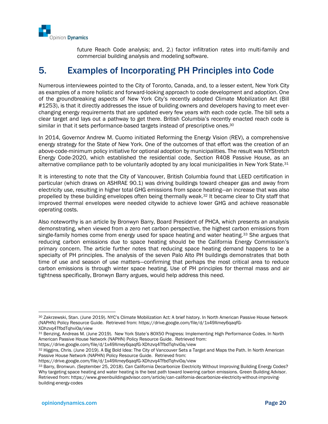

future Reach Code analysis; and, 2.) factor infiltration rates into multi-family and commercial building analysis and modeling software.

# 5. Examples of Incorporating PH Principles into Code

Numerous interviewees pointed to the City of Toronto, Canada, and, to a lesser extent, New York City as examples of a more holistic and forward-looking approach to code development and adoption. One of the groundbreaking aspects of New York City's recently adopted Climate Mobilization Act (Bill #1253), is that it directly addresses the issue of building owners and developers having to meet everchanging energy requirements that are updated every few years with each code cycle. The bill sets a clear target and lays out a pathway to get there. British Columbia's recently enacted reach code is similar in that it sets performance-based targets instead of prescriptive ones.<sup>30</sup>

In 2014, Governor Andrew M. Cuomo initiated Reforming the Energy Vision (REV), a comprehensive energy strategy for the State of New York. One of the outcomes of that effort was the creation of an above-code-minimum policy initiative for optional adoption by municipalities. The result was NYStretch Energy Code-2020, which established the residential code, Section R408 Passive House, as an alternative compliance path to be voluntarily adopted by any local municipalities in New York State.<sup>31</sup>

It is interesting to note that the City of Vancouver, British Columbia found that LEED certification in particular (which draws on ASHRAE 90.1) was driving buildings toward cheaper gas and away from electricity use, resulting in higher total GHG emissions from space heating—an increase that was also propelled by these building envelopes often being thermally weak.<sup>32</sup> It became clear to City staff that improved thermal envelopes were needed citywide to achieve lower GHG and achieve reasonable operating costs.

Also noteworthy is an article by Bronwyn Barry, Board President of PHCA, which presents an analysis demonstrating, when viewed from a zero net carbon perspective, the highest carbon emissions from single-family homes come from energy used for space heating and water heating.<sup>33</sup> She argues that reducing carbon emissions due to space heating should be the California Energy Commission's primary concern. The article further notes that reducing space heating demand happens to be a specialty of PH principles. The analysis of the seven Palo Alto PH buildings demonstrates that both time of use and season of use matters—confirming that perhaps the most critical area to reduce carbon emissions is through winter space heating. Use of PH principles for thermal mass and air tightness specifically, Bronwyn Barry argues, would help address this need.

<sup>30</sup> Zakrzewski, Stan. (June 2019). NYC's Climate Mobilization Act: A brief history. In North American Passive House Network (NAPHN) Policy Resource Guide. Retrieved from: https://drive.google.com/file/d/1x49Xmey6qaqfG-XDhzvq4TfbdTqhvi0a/view

<sup>31</sup> Benzing, Andreas M. (June 2019). New York State's 80X50 Progress: Implementing High Performance Codes. In North American Passive House Network (NAPHN) Policy Resource Guide. Retrieved from:

https://drive.google.com/file/d/1x49Xmey6qaqfG-XDhzvq4TfbdTqhvi0a/view

<sup>32</sup> Higgins, Chris. (June 2019). A Big Bold Idea: The City of Vancouver Sets a Target and Maps the Path. In North American Passive House Network (NAPHN) Policy Resource Guide. Retrieved from:

https://drive.google.com/file/d/1x49Xmey6qaqfG-XDhzvq4TfbdTqhvi0a/view

<sup>33</sup> Barry, Bronwun. (September 25, 2018). Can California Decarbonize Electricity Without Improving Building Energy Codes? Why targeting space heating and water heating is the best path toward lowering carbon emissions. Green Building Advisor. Retrieved from: https://www.greenbuildingadvisor.com/article/can-california-decarbonize-electricity-without-improvingbuilding-energy-codes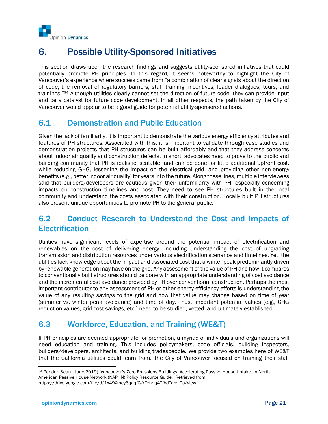

# 6. Possible Utility-Sponsored Initiatives

This section draws upon the research findings and suggests utility-sponsored initiatives that could potentially promote PH principles. In this regard, it seems noteworthy to highlight the City of Vancouver's experience where success came from "a combination of clear signals about the direction of code, the removal of regulatory barriers, staff training, incentives, leader dialogues, tours, and trainings."<sup>34</sup> Although utilities clearly cannot set the direction of future code, they can provide input and be a catalyst for future code development. In all other respects, the path taken by the City of Vancouver would appear to be a good guide for potential utility-sponsored actions.

### 6.1 Demonstration and Public Education

Given the lack of familiarity, it is important to demonstrate the various energy efficiency attributes and features of PH structures. Associated with this, it is important to validate through case studies and demonstration projects that PH structures can be built affordably and that they address concerns about indoor air quality and construction defects. In short, advocates need to prove to the public and building community that PH is realistic, scalable, and can be done for little additional upfront cost, while reducing GHG, lessening the impact on the electrical grid, and providing other non-energy benefits (e.g., better indoor air quality) for years into the future. Along these lines, multiple interviewees said that builders/developers are cautious given their unfamiliarity with PH—especially concerning impacts on construction timelines and cost. They need to see PH structures built in the local community and understand the costs associated with their construction. Locally built PH structures also present unique opportunities to promote PH to the general public.

# 6.2 Conduct Research to Understand the Cost and Impacts of **Electrification**

Utilities have significant levels of expertise around the potential impact of electrification and renewables on the cost of delivering energy, including understanding the cost of upgrading transmission and distribution resources under various electrification scenarios and timelines. Yet, the utilities lack knowledge about the impact and associated cost that a winter peak predominantly driven by renewable generation may have on the grid. Any assessment of the value of PH and how it compares to conventionally built structures should be done with an appropriate understanding of cost avoidance and the incremental cost avoidance provided by PH over conventional construction. Perhaps the most important contributor to any assessment of PH or other energy efficiency efforts is understanding the value of any resulting savings to the grid and how that value may change based on time of year (summer vs. winter peak avoidance) and time of day. Thus, important potential values (e.g., GHG reduction values, grid cost savings, etc.) need to be studied, vetted, and ultimately established.

# 6.3 Workforce, Education, and Training (WE&T)

If PH principles are deemed appropriate for promotion, a myriad of individuals and organizations will need education and training. This includes policymakers, code officials, building inspectors, builders/developers, architects, and building tradespeople. We provide two examples here of WE&T that the California utilities could learn from. The City of Vancouver focused on training their staff

<sup>34</sup> Pander, Sean. (June 2019). Vancouver's Zero Emissions Buildings: Accelerating Passive House Uptake. In North American Passive House Network (NAPHN) Policy Resource Guide. Retrieved from: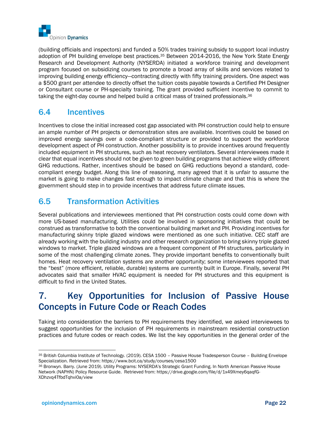

(building officials and inspectors) and funded a 50% trades training subsidy to support local industry adoption of PH building envelope best practices.<sup>35</sup> Between 2014-2016, the New York State Energy Research and Development Authority (NYSERDA) initiated a workforce training and development program focused on subsidizing courses to promote a broad array of skills and services related to improving building energy efficiency—contracting directly with fifty training providers. One aspect was a \$500 grant per attendee to directly offset the tuition costs payable towards a Certified PH Designer or Consultant course or PH-specialty training. The grant provided sufficient incentive to commit to taking the eight-day course and helped build a critical mass of trained professionals.<sup>36</sup>

### 6.4 Incentives

Incentives to close the initial increased cost gap associated with PH construction could help to ensure an ample number of PH projects or demonstration sites are available. Incentives could be based on improved energy savings over a code-compliant structure or provided to support the workforce development aspect of PH construction. Another possibility is to provide incentives around frequently included equipment in PH structures, such as heat recovery ventilators. Several interviewees made it clear that equal incentives should not be given to green building programs that achieve wildly different GHG reductions. Rather, incentives should be based on GHG reductions beyond a standard, codecompliant energy budget. Along this line of reasoning, many agreed that it is unfair to assume the market is going to make changes fast enough to impact climate change and that this is where the government should step in to provide incentives that address future climate issues.

# 6.5 Transformation Activities

Several publications and interviewees mentioned that PH construction costs could come down with more US-based manufacturing. Utilities could be involved in sponsoring initiatives that could be construed as transformative to both the conventional building market and PH. Providing incentives for manufacturing skinny triple glazed windows were mentioned as one such initiative. CEC staff are already working with the building industry and other research organization to bring skinny triple glazed windows to market. Triple glazed windows are a frequent component of PH structures, particularly in some of the most challenging climate zones. They provide important benefits to conventionally built homes. Heat recovery ventilation systems are another opportunity; some interviewees reported that the "best" (more efficient, reliable, durable) systems are currently built in Europe. Finally, several PH advocates said that smaller HVAC equipment is needed for PH structures and this equipment is difficult to find in the United States.

# 7. Key Opportunities for Inclusion of Passive House Concepts in Future Code or Reach Codes

Taking into consideration the barriers to PH requirements they identified, we asked interviewees to suggest opportunities for the inclusion of PH requirements in mainstream residential construction practices and future codes or reach codes. We list the key opportunities in the general order of the

<sup>35</sup> British Columbia Institute of Technology. (2019). CESA 1500 – Passive House Tradesperson Course – Building Envelope Specialization. Retrieved from: https://www.bcit.ca/study/courses/cesa1500

<sup>36</sup> Bronwyn. Barry. (June 2019). Utility Programs: NYSERDA's Strategic Grant Funding. In North American Passive House Network (NAPHN) Policy Resource Guide. Retrieved from: https://drive.google.com/file/d/1x49Xmey6qaqfG-XDhzvq4TfbdTqhvi0a/view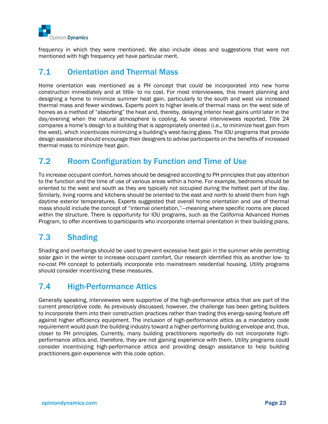

frequency in which they were mentioned. We also include ideas and suggestions that were not mentioned with high frequency yet have particular merit.

#### 7.1 Orientation and Thermal Mass

Home orientation was mentioned as a PH concept that could be incorporated into new home construction immediately and at little- to no cost. For most interviewees, this meant planning and designing a home to minimize summer heat gain, particularly to the south and west via increased thermal mass and fewer windows. Experts point to higher levels of thermal mass on the west side of homes as a method of "absorbing" the heat and, thereby, delaying interior heat gains until later in the day/evening when the natural atmosphere is cooling. As several interviewees reported, Title 24 compares a home's design to a building that is appropriately oriented (i.e., to minimize heat gain from the west), which incentivizes minimizing a building's west-facing glass. The IOU programs that provide design assistance should encourage their designers to advise participants on the benefits of increased thermal mass to minimize heat gain.

# 7.2 Room Configuration by Function and Time of Use

To increase occupant comfort, homes should be designed according to PH principles that pay attention to the function and the time of use of various areas within a home. For example, bedrooms should be oriented to the west and south as they are typically not occupied during the hottest part of the day. Similarly, living rooms and kitchens should be oriented to the east and north to shield them from high daytime exterior temperatures. Experts suggested that overall home orientation and use of thermal mass should include the concept of "internal orientation,"—meaning where specific rooms are placed within the structure. There is opportunity for IOU programs, such as the California Advanced Homes Program, to offer incentives to participants who incorporate internal orientation in their building plans.

# 7.3 Shading

Shading and overhangs should be used to prevent excessive heat gain in the summer while permitting solar gain in the winter to increase occupant comfort. Our research identified this as another low- to no-cost PH concept to potentially incorporate into mainstream residential housing. Utility programs should consider incentivizing these measures.

# 7.4 High-Performance Attics

Generally speaking, interviewees were supportive of the high-performance attics that are part of the current prescriptive code. As previously discussed, however, the challenge has been getting builders to incorporate them into their construction practices rather than trading this energy-saving feature off against higher efficiency equipment. The inclusion of high-performance attics as a mandatory code requirement would push the building industry toward a higher-performing building envelope and, thus, closer to PH principles. Currently, many building practitioners reportedly do not incorporate highperformance attics and, therefore, they are not gaining experience with them. Utility programs could consider incentivizing high-performance attics and providing design assistance to help building practitioners gain experience with this code option.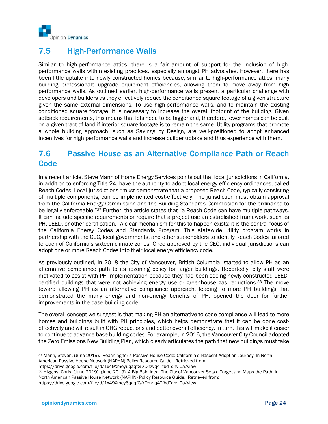

# 7.5 High-Performance Walls

Similar to high-performance attics, there is a fair amount of support for the inclusion of highperformance walls within existing practices, especially amongst PH advocates. However, there has been little uptake into newly constructed homes because, similar to high-performance attics, many building professionals upgrade equipment efficiencies, allowing them to move away from high performance walls. As outlined earlier, high-performance walls present a particular challenge with developers and builders as they effectively reduce the conditioned square footage of a given structure given the same external dimensions. To use high-performance walls, and to maintain the existing conditioned square footage, it is necessary to increase the overall footprint of the building. Given setback requirements, this means that lots need to be bigger and, therefore, fewer homes can be built on a given tract of land if interior square footage is to remain the same. Utility programs that promote a whole building approach, such as Savings by Design, are well-positioned to adopt enhanced incentives for high performance walls and increase builder uptake and thus experience with them.

### 7.6 Passive House as an Alternative Compliance Path or Reach **Code**

In a recent article, Steve Mann of Home Energy Services points out that local jurisdictions in California, in addition to enforcing Title-24, have the authority to adopt local energy efficiency ordinances, called Reach Codes. Local jurisdictions "must demonstrate that a proposed Reach Code, typically consisting of multiple components, can be implemented cost-effectively. The jurisdiction must obtain approval from the California Energy Commission and the Building Standards Commission for the ordinance to be legally enforceable."<sup>37</sup> Further, the article states that "a Reach Code can have multiple pathways. It can include specific requirements or require that a project use an established framework, such as PH, LEED, or other certification." A clear mechanism for this to happen exists; it is the central focus of the California Energy Codes and Standards Program. This statewide utility program works in partnership with the CEC, local governments, and other stakeholders to identify Reach Codes tailored to each of California's sixteen climate zones. Once approved by the CEC, individual jurisdictions can adopt one or more Reach Codes into their local energy efficiency code.

As previously outlined, in 2018 the City of Vancouver, British Columbia, started to allow PH as an alternative compliance path to its rezoning policy for larger buildings. Reportedly, city staff were motivated to assist with PH implementation because they had been seeing newly constructed LEEDcertified buildings that were not achieving energy use or greenhouse gas reductions.<sup>38</sup> The move toward allowing PH as an alternative compliance approach, leading to more PH buildings that demonstrated the many energy and non-energy benefits of PH, opened the door for further improvements in the base building code.

The overall concept we suggest is that making PH an alternative to code compliance will lead to more homes and buildings built with PH principles, which helps demonstrate that it can be done costeffectively and will result in GHG reductions and better overall efficiency. In turn, this will make it easier to continue to advance base building codes. For example, in 2016, the Vancouver City Council adopted the Zero Emissions New Building Plan, which clearly articulates the path that new buildings must take

38 Higgins, Chris. (June 2019). (June 2019). A Big Bold Idea: The City of Vancouver Sets a Target and Maps the Path. In North American Passive House Network (NAPHN) Policy Resource Guide. Retrieved from:

<sup>37</sup> Mann, Steven. (June 2019). Reaching for a Passive House Code: California's Nascent Adoption Journey. In North American Passive House Network (NAPHN) Policy Resource Guide. Retrieved from:

https://drive.google.com/file/d/1x49Xmey6qaqfG-XDhzvq4TfbdTqhvi0a/view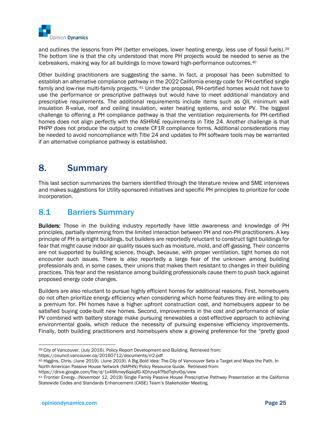

and outlines the lessons from PH (better envelopes, lower heating energy, less use of fossil fuels).<sup>39</sup> The bottom line is that the city understood that more PH projects would be needed to serve as the icebreakers, making way for all buildings to move toward high-performance outcomes.<sup>40</sup>

Other building practitioners are suggesting the same. In fact, a proposal has been submitted to establish an alternative compliance pathway in the 2022 California energy code for PH-certified single family and low-rise multi-family projects. <sup>41</sup> Under the proposal, PH-certified homes would not have to use the performance or prescriptive pathways but would have to meet additional mandatory and prescriptive requirements. The additional requirements include items such as QII, minimum wall insulation R-value, roof and ceiling insulation, water heating systems, and solar PV. The biggest challenge to offering a PH compliance pathway is that the ventilation requirements for PH-certified homes does not align perfectly with the ASHRAE requirements in Title 24. Another challenge is that PHPP does not produce the output to create CF1R compliance forms. Additional considerations may be needed to avoid noncompliance with Title 24 and updates to PH software tools may be warranted if an alternative compliance pathway is established.

# 8. Summary

This last section summarizes the barriers identified through the literature review and SME interviews and makes suggestions for Utility-sponsored initiatives and specific PH principles to prioritize for code incorporation.

### 8.1 Barriers Summary

Builders: Those in the building industry reportedly have little awareness and knowledge of PH principles, partially stemming from the limited interaction between PH and non-PH practitioners. A key principle of PH is airtight buildings, but builders are reportedly reluctant to construct tight buildings for fear that might cause indoor air quality issues such as moisture, mold, and off-gassing. Their concerns are not supported by building science, though, because, with proper ventilation, tight homes do not encounter such issues. There is also reportedly a large fear of the unknown among building professionals and, in some cases, their unions that makes them resistant to changes in their building practices. This fear and the resistance among building professionals cause them to push back against proposed energy code changes.

Builders are also reluctant to pursue highly efficient homes for additional reasons. First, homebuyers do not often prioritize energy efficiency when considering which home features they are willing to pay a premium for. PH homes have a higher upfront construction cost, and homebuyers appear to be satisfied buying code-built new homes. Second, improvements in the cost and performance of solar PV combined with battery storage make pursuing renewables a cost-effective approach to achieving environmental goals, which reduce the necessity of pursuing expensive efficiency improvements. Finally, both building practitioners and homebuyers show a growing preference for the "pretty good

<sup>39</sup> City of Vancouver. (July 2016). Policy Report Development and Building. Retrieved from: https://council.vancouver.ca/20160712/documents/rr2.pdf

<sup>40</sup> Higgins, Chris. (June 2019). (June 2019). A Big Bold Idea: The City of Vancouver Sets a Target and Maps the Path. In North American Passive House Network (NAPHN) Policy Resource Guide. Retrieved from:

https://drive.google.com/file/d/1x49Xmey6qaqfG-XDhzvq4TfbdTqhvi0a/view

<sup>41</sup> Frontier Energy. (November 12, 2019) Single Family Passive House Prescriptive Pathway Presentation at the California Statewide Codes and Standards Enhancement (CASE) Team's Stakeholder Meeting.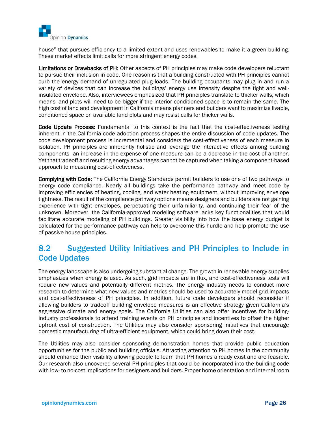

house" that pursues efficiency to a limited extent and uses renewables to make it a green building. These market effects limit calls for more stringent energy codes.

Limitations or Drawbacks of PH: Other aspects of PH principles may make code developers reluctant to pursue their inclusion in code. One reason is that a building constructed with PH principles cannot curb the energy demand of unregulated plug loads. The building occupants may plug in and run a variety of devices that can increase the buildings' energy use intensity despite the tight and wellinsulated envelope. Also, interviewees emphasized that PH principles translate to thicker walls, which means land plots will need to be bigger if the interior conditioned space is to remain the same. The high cost of land and development in California means planners and builders want to maximize livable, conditioned space on available land plots and may resist calls for thicker walls.

Code Update Process: Fundamental to this context is the fact that the cost-effectiveness testing inherent in the California code adoption process shapes the entire discussion of code updates. The code development process is incremental and considers the cost-effectiveness of each measure in isolation. PH principles are inherently holistic and leverage the interactive effects among building components–an increase in the expense of one measure can be a decrease in the cost of another. Yet that tradeoff and resulting energy advantages cannot be captured when taking a component-based approach to measuring cost-effectiveness.

Complying with Code: The California Energy Standards permit builders to use one of two pathways to energy code compliance. Nearly all buildings take the performance pathway and meet code by improving efficiencies of heating, cooling, and water heating equipment, without improving envelope tightness. The result of the compliance pathway options means designers and builders are not gaining experience with tight envelopes, perpetuating their unfamiliarity, and continuing their fear of the unknown. Moreover, the California-approved modeling software lacks key functionalities that would facilitate accurate modeling of PH buildings. Greater visibility into how the base energy budget is calculated for the performance pathway can help to overcome this hurdle and help promote the use of passive house principles.

### 8.2 Suggested Utility Initiatives and PH Principles to Include in Code Updates

The energy landscape is also undergoing substantial change. The growth in renewable energy supplies emphasizes when energy is used. As such, grid impacts are in flux, and cost-effectiveness tests will require new values and potentially different metrics. The energy industry needs to conduct more research to determine what new values and metrics should be used to accurately model grid impacts and cost-effectiveness of PH principles. In addition, future code developers should reconsider if allowing builders to tradeoff building envelope measures is an effective strategy given California's aggressive climate and energy goals. The California Utilities can also offer incentives for buildingindustry professionals to attend training events on PH principles and incentives to offset the higher upfront cost of construction. The Utilities may also consider sponsoring initiatives that encourage domestic manufacturing of ultra-efficient equipment, which could bring down their cost.

The Utilities may also consider sponsoring demonstration homes that provide public education opportunities for the public and building officials. Attracting attention to PH homes in the community should enhance their visibility allowing people to learn that PH homes already exist and are feasible. Our research also uncovered several PH principles that could be incorporated into the building code with low- to no-cost implications for designers and builders. Proper home orientation and internal room